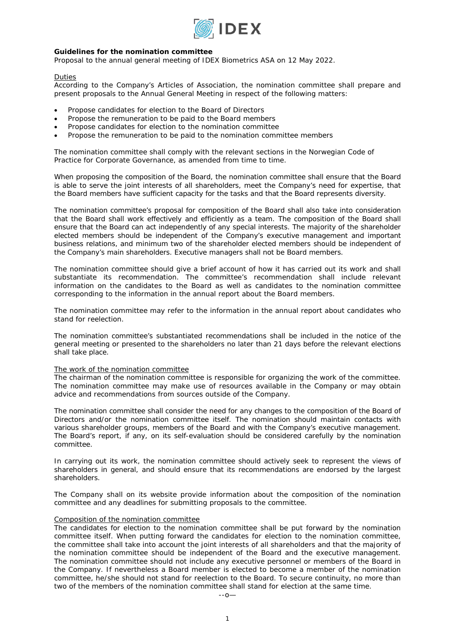

# **Guidelines for the nomination committee**

*Proposal to the annual general meeting of IDEX Biometrics ASA on 12 May 2022.* 

# Duties

According to the Company's Articles of Association, the nomination committee shall prepare and present proposals to the Annual General Meeting in respect of the following matters:

- Propose candidates for election to the Board of Directors
- Propose the remuneration to be paid to the Board members
- Propose candidates for election to the nomination committee
- Propose the remuneration to be paid to the nomination committee members

The nomination committee shall comply with the relevant sections in the Norwegian Code of Practice for Corporate Governance, as amended from time to time.

When proposing the composition of the Board, the nomination committee shall ensure that the Board is able to serve the joint interests of all shareholders, meet the Company's need for expertise, that the Board members have sufficient capacity for the tasks and that the Board represents diversity.

The nomination committee's proposal for composition of the Board shall also take into consideration that the Board shall work effectively and efficiently as a team. The composition of the Board shall ensure that the Board can act independently of any special interests. The majority of the shareholder elected members should be independent of the Company's executive management and important business relations, and minimum two of the shareholder elected members should be independent of the Company's main shareholders. Executive managers shall not be Board members.

The nomination committee should give a brief account of how it has carried out its work and shall substantiate its recommendation. The committee's recommendation shall include relevant information on the candidates to the Board as well as candidates to the nomination committee corresponding to the information in the annual report about the Board members.

The nomination committee may refer to the information in the annual report about candidates who stand for reelection.

The nomination committee's substantiated recommendations shall be included in the notice of the general meeting or presented to the shareholders no later than 21 days before the relevant elections shall take place.

# The work of the nomination committee

The chairman of the nomination committee is responsible for organizing the work of the committee. The nomination committee may make use of resources available in the Company or may obtain advice and recommendations from sources outside of the Company.

The nomination committee shall consider the need for any changes to the composition of the Board of Directors and/or the nomination committee itself. The nomination should maintain contacts with various shareholder groups, members of the Board and with the Company's executive management. The Board's report, if any, on its self-evaluation should be considered carefully by the nomination committee.

In carrying out its work, the nomination committee should actively seek to represent the views of shareholders in general, and should ensure that its recommendations are endorsed by the largest shareholders.

The Company shall on its website provide information about the composition of the nomination committee and any deadlines for submitting proposals to the committee.

# Composition of the nomination committee

The candidates for election to the nomination committee shall be put forward by the nomination committee itself. When putting forward the candidates for election to the nomination committee, the committee shall take into account the joint interests of all shareholders and that the majority of the nomination committee should be independent of the Board and the executive management. The nomination committee should not include any executive personnel or members of the Board in the Company. If nevertheless a Board member is elected to become a member of the nomination committee, he/she should not stand for reelection to the Board. To secure continuity, no more than two of the members of the nomination committee shall stand for election at the same time.